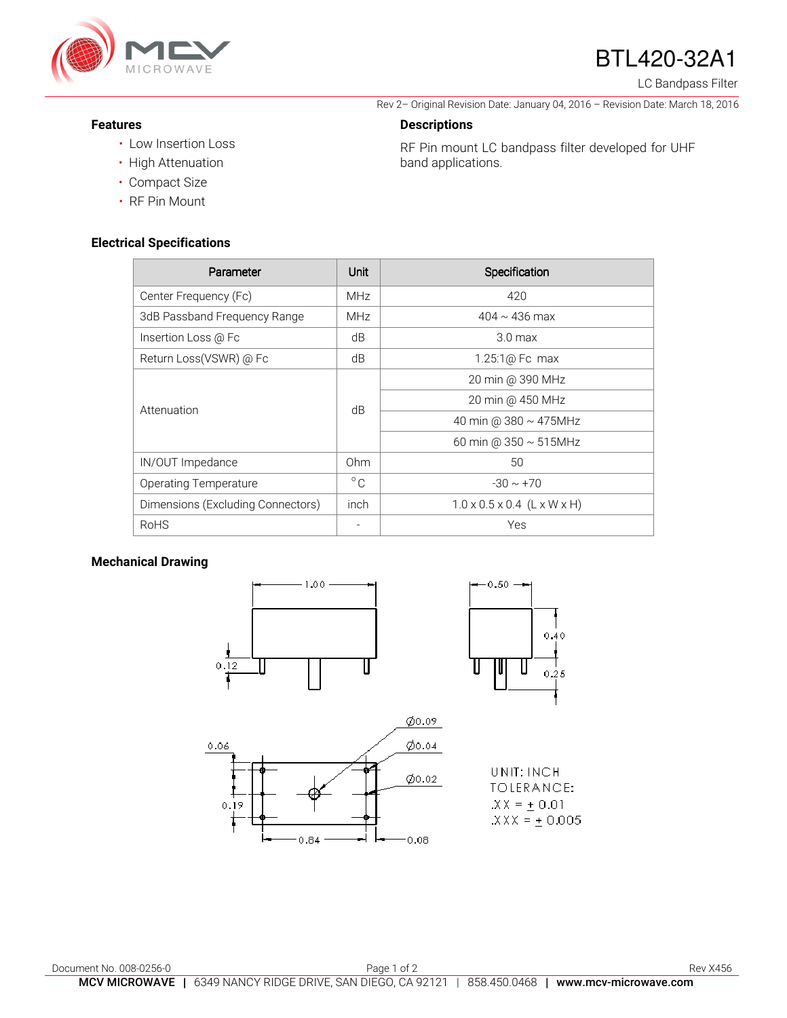

# BTL420-32A1

LC Bandpass Filter

#### **Features**

- Low Insertion Loss
- High Attenuation
- Compact Size
- RF Pin Mount

#### **Electrical Specifications**

| Parameter                         | Unit         | Specification                           |
|-----------------------------------|--------------|-----------------------------------------|
| Center Frequency (Fc)             | <b>MHz</b>   | 420                                     |
| 3dB Passband Frequency Range      | <b>MHz</b>   | $404 \sim 436$ max                      |
| Insertion Loss @ Fc               | dB           | 3.0 <sub>max</sub>                      |
| Return Loss(VSWR) @ Fc            | dB           | 1.25:1@ Fc max                          |
| Attenuation                       | dB           | 20 min @ 390 MHz                        |
|                                   |              | 20 min @ 450 MHz                        |
|                                   |              | 40 min @ $380 \sim 475$ MHz             |
|                                   |              | 60 min @ $350 \sim 515$ MHz             |
| IN/OUT Impedance                  | 0hm          | 50                                      |
| Operating Temperature             | $^{\circ}$ C | $-30 \sim +70$                          |
| Dimensions (Excluding Connectors) | inch         | $1.0 \times 0.5 \times 0.4$ (L x W x H) |
| <b>RoHS</b>                       |              | Yes                                     |

#### **Mechanical Drawing**







### **Descriptions**

RF Pin mount LC bandpass filter developed for UHF band applications.

Rev 2– Original Revision Date: January 04, 2016 – Revision Date: March 18, 2016